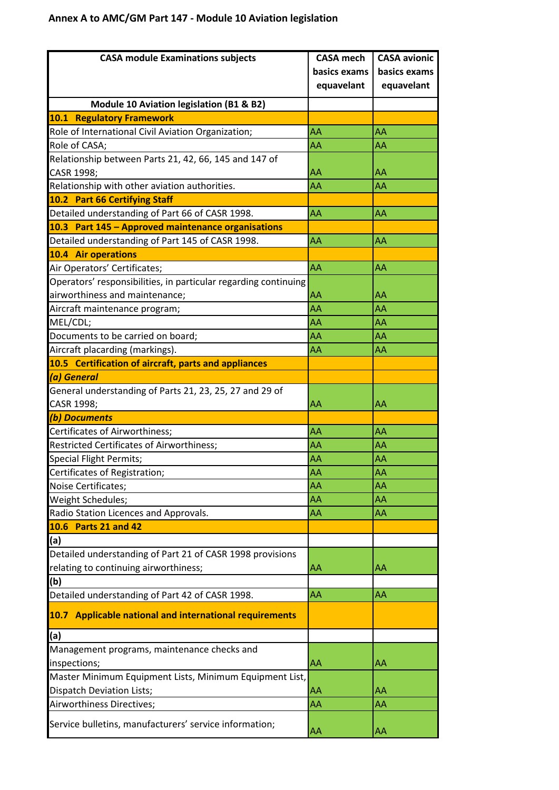| <b>CASA module Examinations subjects</b>                        | <b>CASA mech</b> | <b>CASA avionic</b> |
|-----------------------------------------------------------------|------------------|---------------------|
|                                                                 | basics exams     | basics exams        |
|                                                                 | equavelant       | equavelant          |
| Module 10 Aviation legislation (B1 & B2)                        |                  |                     |
| <b>10.1 Regulatory Framework</b>                                |                  |                     |
| Role of International Civil Aviation Organization;              | AA               | AA                  |
| Role of CASA;                                                   | AA               | AA                  |
| Relationship between Parts 21, 42, 66, 145 and 147 of           |                  |                     |
| CASR 1998;                                                      | AA               | AΑ                  |
| Relationship with other aviation authorities.                   | AA               | AA                  |
| 10.2 Part 66 Certifying Staff                                   |                  |                     |
| Detailed understanding of Part 66 of CASR 1998.                 | AA               | AA                  |
| 10.3 Part 145 - Approved maintenance organisations              |                  |                     |
| Detailed understanding of Part 145 of CASR 1998.                | AA               | AA                  |
| <b>10.4 Air operations</b>                                      |                  |                     |
| Air Operators' Certificates;                                    | AA               | AA                  |
| Operators' responsibilities, in particular regarding continuing |                  |                     |
| airworthiness and maintenance;                                  | AA               | AA                  |
| Aircraft maintenance program;                                   | AA               | AA                  |
| MEL/CDL;                                                        | AA               | AA                  |
| Documents to be carried on board;                               | AA               | AA                  |
| Aircraft placarding (markings).                                 | AA               | AA                  |
| 10.5 Certification of aircraft, parts and appliances            |                  |                     |
| (a) General                                                     |                  |                     |
| General understanding of Parts 21, 23, 25, 27 and 29 of         |                  |                     |
| CASR 1998;                                                      | AA               | AA                  |
| (b) Documents                                                   |                  |                     |
| Certificates of Airworthiness;                                  | AA               | AA                  |
| <b>Restricted Certificates of Airworthiness;</b>                | AΑ               | AA                  |
| Special Flight Permits;                                         | AA               | AΑ                  |
| Certificates of Registration;                                   | AA               | AA                  |
| Noise Certificates;                                             | AA               | AA                  |
| Weight Schedules;                                               | AA               | AA                  |
| Radio Station Licences and Approvals.                           | AA               | AA                  |
| 10.6 Parts 21 and 42                                            |                  |                     |
| (a)                                                             |                  |                     |
| Detailed understanding of Part 21 of CASR 1998 provisions       |                  |                     |
| relating to continuing airworthiness;                           | AA               | AA                  |
| (b)                                                             |                  |                     |
| Detailed understanding of Part 42 of CASR 1998.                 | AA               | AA                  |
| 10.7 Applicable national and international requirements         |                  |                     |
| (a)                                                             |                  |                     |
| Management programs, maintenance checks and                     |                  |                     |
| inspections;                                                    | AA               | AA                  |
| Master Minimum Equipment Lists, Minimum Equipment List,         |                  |                     |
| <b>Dispatch Deviation Lists;</b>                                | AA               | AA                  |
| Airworthiness Directives;                                       | AA               | AA                  |
| Service bulletins, manufacturers' service information;          | AA               | AA                  |